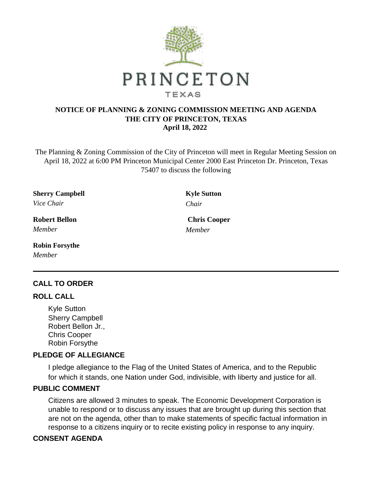

## **NOTICE OF PLANNING & ZONING COMMISSION MEETING AND AGENDA THE CITY OF PRINCETON, TEXAS April 18, 2022**

The Planning & Zoning Commission of the City of Princeton will meet in Regular Meeting Session on April 18, 2022 at 6:00 PM Princeton Municipal Center 2000 East Princeton Dr. Princeton, Texas 75407 to discuss the following

**Sherry Campbell Kyle Sutton** *Vice Chair Chair*

*Member Member*

**Robin Forsythe** *Member*

# **CALL TO ORDER**

#### **ROLL CALL**

Kyle Sutton Sherry Campbell Robert Bellon Jr., Chris Cooper Robin Forsythe

### **PLEDGE OF ALLEGIANCE**

I pledge allegiance to the Flag of the United States of America, and to the Republic for which it stands, one Nation under God, indivisible, with liberty and justice for all.

### **PUBLIC COMMENT**

Citizens are allowed 3 minutes to speak. The Economic Development Corporation is unable to respond or to discuss any issues that are brought up during this section that are not on the agenda, other than to make statements of specific factual information in response to a citizens inquiry or to recite existing policy in response to any inquiry.

### **CONSENT AGENDA**

**Robert Bellon Chris Cooper**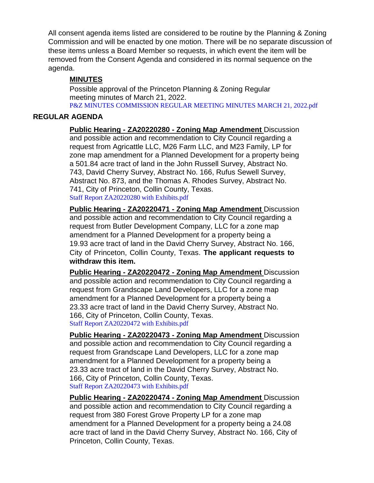All consent agenda items listed are considered to be routine by the Planning & Zoning Commission and will be enacted by one motion. There will be no separate discussion of these items unless a Board Member so requests, in which event the item will be removed from the Consent Agenda and considered in its normal sequence on the agenda.

## **MINUTES**

Possible approval of the Princeton Planning & Zoning Regular meeting minutes of March 21, 2022. [P&Z MINUTES COMMISSION REGULAR MEETING MINUTES MARCH 21, 2022.pdf](https://legistarweb-production.s3.amazonaws.com/uploads/attachment/pdf/1327663/P_Z_MINUTES_COMMISSION_REGULAR_MEETING_MINUTES_MARCH_21__2022.pdf)

### **REGULAR AGENDA**

**Public Hearing - ZA20220280 - Zoning Map Amendment** Discussion and possible action and recommendation to City Council regarding a request from Agricattle LLC, M26 Farm LLC, and M23 Family, LP for zone map amendment for a Planned Development for a property being a 501.84 acre tract of land in the John Russell Survey, Abstract No. 743, David Cherry Survey, Abstract No. 166, Rufus Sewell Survey, Abstract No. 873, and the Thomas A. Rhodes Survey, Abstract No. 741, City of Princeton, Collin County, Texas. [Staff Report ZA20220280 with Exhibits.pdf](https://legistarweb-production.s3.amazonaws.com/uploads/attachment/pdf/1329286/Staff_Report_ZA20220280_with_Exhibits.pdf)

**Public Hearing - ZA20220471 - Zoning Map Amendment** Discussion and possible action and recommendation to City Council regarding a request from Butler Development Company, LLC for a zone map amendment for a Planned Development for a property being a 19.93 acre tract of land in the David Cherry Survey, Abstract No. 166, City of Princeton, Collin County, Texas. **The applicant requests to withdraw this item.**

**Public Hearing - ZA20220472 - Zoning Map Amendment** Discussion and possible action and recommendation to City Council regarding a request from Grandscape Land Developers, LLC for a zone map amendment for a Planned Development for a property being a 23.33 acre tract of land in the David Cherry Survey, Abstract No. 166, City of Princeton, Collin County, Texas. [Staff Report ZA20220472 with Exhibits.pdf](https://legistarweb-production.s3.amazonaws.com/uploads/attachment/pdf/1329281/Staff_Report_ZA20220472_with_Exhibits.pdf)

**Public Hearing - ZA20220473 - Zoning Map Amendment** Discussion and possible action and recommendation to City Council regarding a request from Grandscape Land Developers, LLC for a zone map amendment for a Planned Development for a property being a 23.33 acre tract of land in the David Cherry Survey, Abstract No. 166, City of Princeton, Collin County, Texas. [Staff Report ZA20220473 with Exhibits.pdf](https://legistarweb-production.s3.amazonaws.com/uploads/attachment/pdf/1329349/Staff_Report_ZA20220473_with_Exhibits.pdf)

**Public Hearing - ZA20220474 - Zoning Map Amendment** Discussion and possible action and recommendation to City Council regarding a request from 380 Forest Grove Property LP for a zone map amendment for a Planned Development for a property being a 24.08 acre tract of land in the David Cherry Survey, Abstract No. 166, City of Princeton, Collin County, Texas.